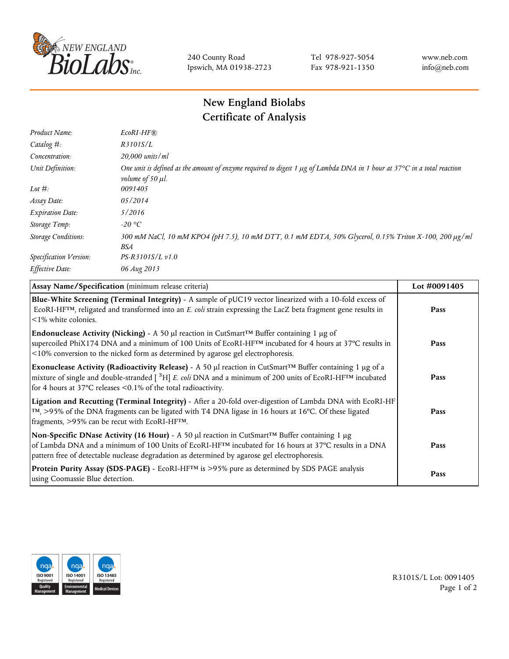

240 County Road Ipswich, MA 01938-2723 Tel 978-927-5054 Fax 978-921-1350 www.neb.com info@neb.com

## **New England Biolabs Certificate of Analysis**

| Product Name:              | EcoRI-HF®                                                                                                                                                       |
|----------------------------|-----------------------------------------------------------------------------------------------------------------------------------------------------------------|
| Catalog #:                 | R3101S/L                                                                                                                                                        |
| Concentration:             | 20,000 units/ml                                                                                                                                                 |
| Unit Definition:           | One unit is defined as the amount of enzyme required to digest 1 $\mu$ g of Lambda DNA in 1 hour at 37 $\degree$ C in a total reaction<br>volume of 50 $\mu$ l. |
| Lot $#$ :                  | 0091405                                                                                                                                                         |
| Assay Date:                | 05/2014                                                                                                                                                         |
| <b>Expiration Date:</b>    | 5/2016                                                                                                                                                          |
| Storage Temp:              | $-20$ °C                                                                                                                                                        |
| <b>Storage Conditions:</b> | 300 mM NaCl, 10 mM KPO4 (pH 7.5), 10 mM DTT, 0.1 mM EDTA, 50% Glycerol, 0.15% Triton X-100, 200 µg/ml<br>BSA                                                    |
| Specification Version:     | PS-R3101S/L v1.0                                                                                                                                                |
| Effective Date:            | 06 Aug 2013                                                                                                                                                     |

| Assay Name/Specification (minimum release criteria)                                                                                                                                                                                                                                                                                          | Lot #0091405 |
|----------------------------------------------------------------------------------------------------------------------------------------------------------------------------------------------------------------------------------------------------------------------------------------------------------------------------------------------|--------------|
| Blue-White Screening (Terminal Integrity) - A sample of pUC19 vector linearized with a 10-fold excess of<br>ECORI-HFTM, religated and transformed into an E. coli strain expressing the LacZ beta fragment gene results in<br>$\leq$ 1% white colonies.                                                                                      | Pass         |
| <b>Endonuclease Activity (Nicking)</b> - A 50 µl reaction in CutSmart <sup>TM</sup> Buffer containing 1 µg of<br>supercoiled PhiX174 DNA and a minimum of 100 Units of EcoRI-HF <sup>TM</sup> incubated for 4 hours at 37°C results in<br><10% conversion to the nicked form as determined by agarose gel electrophoresis.                   | Pass         |
| Exonuclease Activity (Radioactivity Release) - A 50 $\mu$ l reaction in CutSmart <sup>TM</sup> Buffer containing 1 $\mu$ g of a<br>mixture of single and double-stranded $[{}^{3}H]$ E. coli DNA and a minimum of 200 units of EcoRI-HF <sup>TM</sup> incubated<br>for 4 hours at 37 $\degree$ C releases < 0.1% of the total radioactivity. | Pass         |
| Ligation and Recutting (Terminal Integrity) - After a 20-fold over-digestion of Lambda DNA with EcoRI-HF<br>$\lceil m \rceil$ , >95% of the DNA fragments can be ligated with T4 DNA ligase in 16 hours at 16 °C. Of these ligated<br>fragments, >95% can be recut with EcoRI-HFTM.                                                          | Pass         |
| Non-Specific DNase Activity (16 Hour) - A 50 µl reaction in CutSmart™ Buffer containing 1 µg<br>of Lambda DNA and a minimum of 100 Units of EcoRI-HF <sup>TM</sup> incubated for 16 hours at 37°C results in a DNA<br>pattern free of detectable nuclease degradation as determined by agarose gel electrophoresis.                          | Pass         |
| Protein Purity Assay (SDS-PAGE) - EcoRI-HF™ is >95% pure as determined by SDS PAGE analysis<br>using Coomassie Blue detection.                                                                                                                                                                                                               | Pass         |



R3101S/L Lot: 0091405 Page 1 of 2